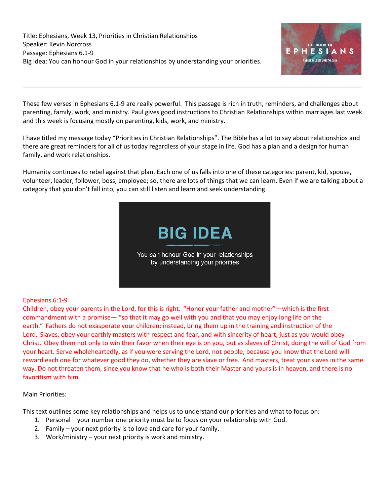

These few verses in Ephesians 6.1-9 are really powerful. This passage is rich in truth, reminders, and challenges about parenting, family, work, and ministry. Paul gives good instructions to Christian Relationships within marriages last week and this week is focusing mostly on parenting, kids, work, and ministry.

I have titled my message today "Priorities in Christian Relationships". The Bible has a lot to say about relationships and there are great reminders for all of us today regardless of your stage in life. God has a plan and a design for human family, and work relationships.

Humanity continues to rebel against that plan. Each one of us falls into one of these categories: parent, kid, spouse, volunteer, leader, follower, boss, employee; so, there are lots of things that we can learn. Even if we are talking about a category that you don't fall into, you can still listen and learn and seek understanding



# Ephesians 6:1-9

Children, obey your parents in the Lord, for this is right. "Honor your father and mother"—which is the first commandment with a promise— "so that it may go well with you and that you may enjoy long life on the earth." Fathers do not exasperate your children; instead, bring them up in the training and instruction of the Lord. Slaves, obey your earthly masters with respect and fear, and with sincerity of heart, just as you would obey Christ. Obey them not only to win their favor when their eye is on you, but as slaves of Christ, doing the will of God from your heart. Serve wholeheartedly, as if you were serving the Lord, not people, because you know that the Lord will reward each one for whatever good they do, whether they are slave or free. And masters, treat your slaves in the same way. Do not threaten them, since you know that he who is both their Master and yours is in heaven, and there is no favoritism with him.

### Main Priorities:

This text outlines some key relationships and helps us to understand our priorities and what to focus on:

- 1. Personal your number one priority must be to focus on your relationship with God.
- 2. Family your next priority is to love and care for your family.
- 3. Work/ministry your next priority is work and ministry.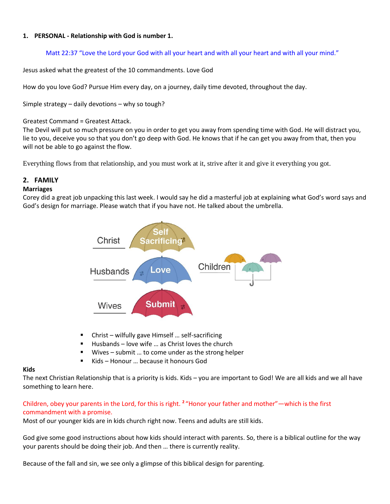### **1. PERSONAL - Relationship with God is number 1.**

# Matt 22:37 "Love the Lord your God with all your heart and with all your heart and with all your mind."

Jesus asked what the greatest of the 10 commandments. Love God

How do you love God? Pursue Him every day, on a journey, daily time devoted, throughout the day.

Simple strategy – daily devotions – why so tough?

Greatest Command = Greatest Attack.

The Devil will put so much pressure on you in order to get you away from spending time with God. He will distract you, lie to you, deceive you so that you don't go deep with God. He knows that if he can get you away from that, then you will not be able to go against the flow.

Everything flows from that relationship, and you must work at it, strive after it and give it everything you got.

# **2. FAMILY**

### **Marriages**

Corey did a great job unpacking this last week. I would say he did a masterful job at explaining what God's word says and God's design for marriage. Please watch that if you have not. He talked about the umbrella.



- Christ wilfully gave Himself ... self-sacrificing
- Husbands love wife ... as Christ loves the church
- Wives submit ... to come under as the strong helper
- Kids Honour ... because it honours God

### **Kids**

The next Christian Relationship that is a priority is kids. Kids – you are important to God! We are all kids and we all have something to learn here.

# Children, obey your parents in the Lord, for this is right. <sup>2</sup> "Honor your father and mother"—which is the first commandment with a promise.

Most of our younger kids are in kids church right now. Teens and adults are still kids.

God give some good instructions about how kids should interact with parents. So, there is a biblical outline for the way your parents should be doing their job. And then … there is currently reality.

Because of the fall and sin, we see only a glimpse of this biblical design for parenting.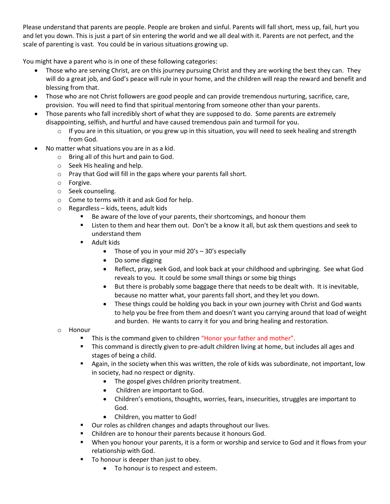Please understand that parents are people. People are broken and sinful. Parents will fall short, mess up, fail, hurt you and let you down. This is just a part of sin entering the world and we all deal with it. Parents are not perfect, and the scale of parenting is vast. You could be in various situations growing up.

You might have a parent who is in one of these following categories:

- Those who are serving Christ, are on this journey pursuing Christ and they are working the best they can. They will do a great job, and God's peace will rule in your home, and the children will reap the reward and benefit and blessing from that.
- Those who are not Christ followers are good people and can provide tremendous nurturing, sacrifice, care, provision. You will need to find that spiritual mentoring from someone other than your parents.
- Those parents who fall incredibly short of what they are supposed to do. Some parents are extremely disappointing, selfish, and hurtful and have caused tremendous pain and turmoil for you.
	- $\circ$  If you are in this situation, or you grew up in this situation, you will need to seek healing and strength from God.
- No matter what situations you are in as a kid.
	- o Bring all of this hurt and pain to God.
	- o Seek His healing and help.
	- o Pray that God will fill in the gaps where your parents fall short.
	- o Forgive.
	- o Seek counseling.
	- o Come to terms with it and ask God for help.
	- o Regardless kids, teens, adult kids
		- Be aware of the love of your parents, their shortcomings, and honour them
		- Listen to them and hear them out. Don't be a know it all, but ask them questions and seek to understand them
		- Adult kids
			- Those of you in your mid  $20's 30's$  especially
			- Do some digging
			- Reflect, pray, seek God, and look back at your childhood and upbringing. See what God reveals to you. It could be some small things or some big things
			- But there is probably some baggage there that needs to be dealt with. It is inevitable, because no matter what, your parents fall short, and they let you down.
			- These things could be holding you back in your own journey with Christ and God wants to help you be free from them and doesn't want you carrying around that load of weight and burden. He wants to carry it for you and bring healing and restoration.
	- o Honour
		- This is the command given to children "Honor your father and mother".
		- This command is directly given to pre-adult children living at home, but includes all ages and stages of being a child.
		- Again, in the society when this was written, the role of kids was subordinate, not important, low in society, had no respect or dignity.
			- The gospel gives children priority treatment.
			- Children are important to God.
			- Children's emotions, thoughts, worries, fears, insecurities, struggles are important to God.
			- Children, you matter to God!
		- Our roles as children changes and adapts throughout our lives.
		- Children are to honour their parents because it honours God.
		- When you honour your parents, it is a form or worship and service to God and it flows from your relationship with God.
		- To honour is deeper than just to obey.
			- To honour is to respect and esteem.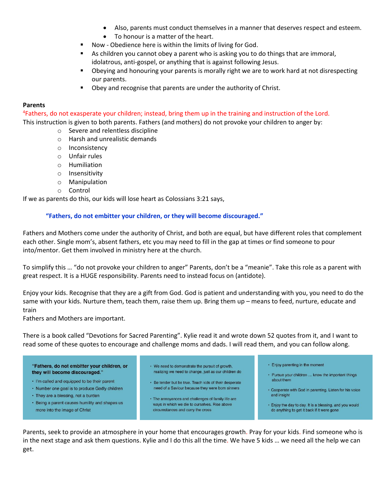- Also, parents must conduct themselves in a manner that deserves respect and esteem.
- To honour is a matter of the heart.
- Now Obedience here is within the limits of living for God.
- As children you cannot obey a parent who is asking you to do things that are immoral, idolatrous, anti-gospel, or anything that is against following Jesus.
- Obeying and honouring your parents is morally right we are to work hard at not disrespecting our parents.
- Obey and recognise that parents are under the authority of Christ.

### **Parents**

<sup>4</sup>Fathers, do not exasperate your children; instead, bring them up in the training and instruction of the Lord. This instruction is given to both parents. Fathers (and mothers) do not provoke your children to anger by:

- o Severe and relentless discipline
- o Harsh and unrealistic demands
- o Inconsistency
- o Unfair rules
- o Humiliation
- o Insensitivity
- o Manipulation
- o Control

If we as parents do this, our kids will lose heart as Colossians 3:21 says,

### **"Fathers, do not embitter your children, or they will become discouraged."**

Fathers and Mothers come under the authority of Christ, and both are equal, but have different roles that complement each other. Single mom's, absent fathers, etc you may need to fill in the gap at times or find someone to pour into/mentor. Get them involved in ministry here at the church.

To simplify this … "do not provoke your children to anger" Parents, don't be a "meanie". Take this role as a parent with great respect. It is a HUGE responsibility. Parents need to instead focus on (antidote).

Enjoy your kids. Recognise that they are a gift from God. God is patient and understanding with you, you need to do the same with your kids. Nurture them, teach them, raise them up. Bring them up – means to feed, nurture, educate and train

Fathers and Mothers are important.

There is a book called "Devotions for Sacred Parenting". Kylie read it and wrote down 52 quotes from it, and I want to read some of these quotes to encourage and challenge moms and dads. I will read them, and you can follow along.

"Fathers, do not embitter your children, or they will become discouraged."

- · I'm called and equipped to be their parent
- Number one goal is to produce Godly children
- They are a blessing, not a burden
- · Being a parent causes humility and shapes us more into the image of Christ
- We need to demonstrate the pursuit of growth, realizing we need to change, just as our children do
- Be tender but be true. Teach kids of their desperate need of a Saviour because they were born sinners
- The annovances and challenges of family life are ways in which we die to ourselves. Rise above circumstances and carry the cross
- Enjoy parenting in the moment
- Pursue your children ... know the important things about them
- Cooperate with God in parenting. Listen for his voice and insight
- Enjoy the day to day. It is a blessing, and you would do anything to get it back if it were gone

Parents, seek to provide an atmosphere in your home that encourages growth. Pray for your kids. Find someone who is in the next stage and ask them questions. Kylie and I do this all the time. We have 5 kids … we need all the help we can get.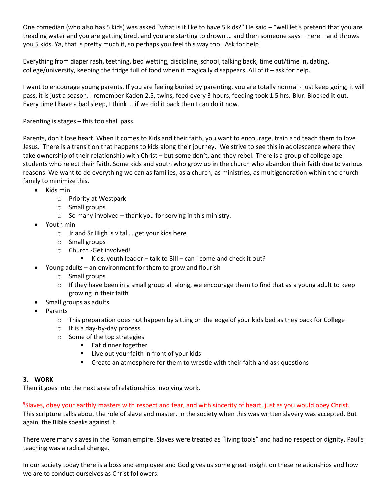One comedian (who also has 5 kids) was asked "what is it like to have 5 kids?" He said – "well let's pretend that you are treading water and you are getting tired, and you are starting to drown … and then someone says – here – and throws you 5 kids. Ya, that is pretty much it, so perhaps you feel this way too. Ask for help!

Everything from diaper rash, teething, bed wetting, discipline, school, talking back, time out/time in, dating, college/university, keeping the fridge full of food when it magically disappears. All of it – ask for help.

I want to encourage young parents. If you are feeling buried by parenting, you are totally normal - just keep going, it will pass, it is just a season. I remember Kaden 2.5, twins, feed every 3 hours, feeding took 1.5 hrs. Blur. Blocked it out. Every time I have a bad sleep, I think … if we did it back then I can do it now.

Parenting is stages – this too shall pass.

Parents, don't lose heart. When it comes to Kids and their faith, you want to encourage, train and teach them to love Jesus. There is a transition that happens to kids along their journey. We strive to see this in adolescence where they take ownership of their relationship with Christ – but some don't, and they rebel. There is a group of college age students who reject their faith. Some kids and youth who grow up in the church who abandon their faith due to various reasons. We want to do everything we can as families, as a church, as ministries, as multigeneration within the church family to minimize this.

- Kids min
	- o Priority at Westpark
	- o Small groups
	- $\circ$  So many involved thank you for serving in this ministry.
- Youth min
	- o Jr and Sr High is vital … get your kids here
	- o Small groups
	- o Church -Get involved!
		- $\blacksquare$  Kids, youth leader talk to Bill can I come and check it out?
- Young adults an environment for them to grow and flourish
	- o Small groups
	- $\circ$  If they have been in a small group all along, we encourage them to find that as a young adult to keep growing in their faith
	- Small groups as adults
- Parents
	- $\circ$  This preparation does not happen by sitting on the edge of your kids bed as they pack for College
	- o It is a day-by-day process
	- o Some of the top strategies
		- Eat dinner together
		- Live out your faith in front of your kids
		- Create an atmosphere for them to wrestle with their faith and ask questions

### **3. WORK**

Then it goes into the next area of relationships involving work.

#### <sup>5</sup>Slaves, obey your earthly masters with respect and fear, and with sincerity of heart, just as you would obey Christ.

This scripture talks about the role of slave and master. In the society when this was written slavery was accepted. But again, the Bible speaks against it.

There were many slaves in the Roman empire. Slaves were treated as "living tools" and had no respect or dignity. Paul's teaching was a radical change.

In our society today there is a boss and employee and God gives us some great insight on these relationships and how we are to conduct ourselves as Christ followers.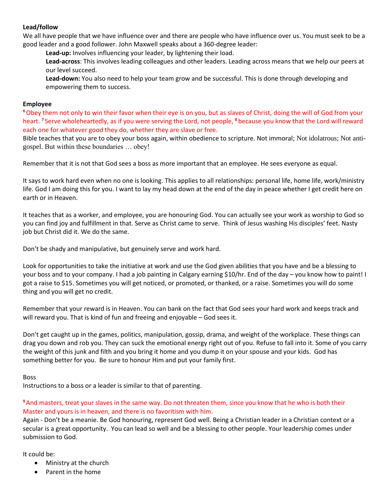### **Lead/follow**

We all have people that we have influence over and there are people who have influence over us. You must seek to be a good leader and a good follower. John Maxwell speaks about a 360-degree leader:

**Lead-up:** Involves influencing your leader, by lightening their load.

**Lead-across**: This involves leading colleagues and other leaders. Leading across means that we help our peers at our level succeed.

**Lead-down:** You also need to help your team grow and be successful. This is done through developing and empowering them to success.

#### **Employee**

**<sup>6</sup>**Obey them not only to win their favor when their eye is on you, but as slaves of Christ, doing the will of God from your heart. **<sup>7</sup>** Serve wholeheartedly, as if you were serving the Lord, not people, **<sup>8</sup>** because you know that the Lord will reward each one for whatever good they do, whether they are slave or free.

Bible teaches that you are to obey your boss again, within obedience to scripture. Not immoral; Not idolatrous; Not antigospel. But within these boundaries … obey!

Remember that it is not that God sees a boss as more important that an employee. He sees everyone as equal.

It says to work hard even when no one is looking. This applies to all relationships: personal life, home life, work/ministry life. God I am doing this for you. I want to lay my head down at the end of the day in peace whether I get credit here on earth or in Heaven.

It teaches that as a worker, and employee, you are honouring God. You can actually see your work as worship to God so you can find joy and fulfillment in that. Serve as Christ came to serve. Think of Jesus washing His disciples' feet. Nasty job but Christ did it. We do the same.

Don't be shady and manipulative, but genuinely serve and work hard.

Look for opportunities to take the initiative at work and use the God given abilities that you have and be a blessing to your boss and to your company. I had a job painting in Calgary earning \$10/hr. End of the day – you know how to paint! I got a raise to \$15. Sometimes you will get noticed, or promoted, or thanked, or a raise. Sometimes you will do some thing and you will get no credit.

Remember that your reward is in Heaven. You can bank on the fact that God sees your hard work and keeps track and will reward you. That is kind of fun and freeing and enjoyable – God sees it.

Don't get caught up in the games, politics, manipulation, gossip, drama, and weight of the workplace. These things can drag you down and rob you. They can suck the emotional energy right out of you. Refuse to fall into it. Some of you carry the weight of this junk and filth and you bring it home and you dump it on your spouse and your kids. God has something better for you. Be sure to honour Him and put your family first.

#### Boss

Instructions to a boss or a leader is similar to that of parenting.

**<sup>9</sup>**And masters, treat your slaves in the same way. Do not threaten them, since you know that he who is both their Master and yours is in heaven, and there is no favoritism with him.

Again - Don't be a meanie. Be God honouring, represent God well. Being a Christian leader in a Christian context or a secular is a great opportunity. You can lead so well and be a blessing to other people. Your leadership comes under submission to God.

It could be:

- Ministry at the church
- Parent in the home